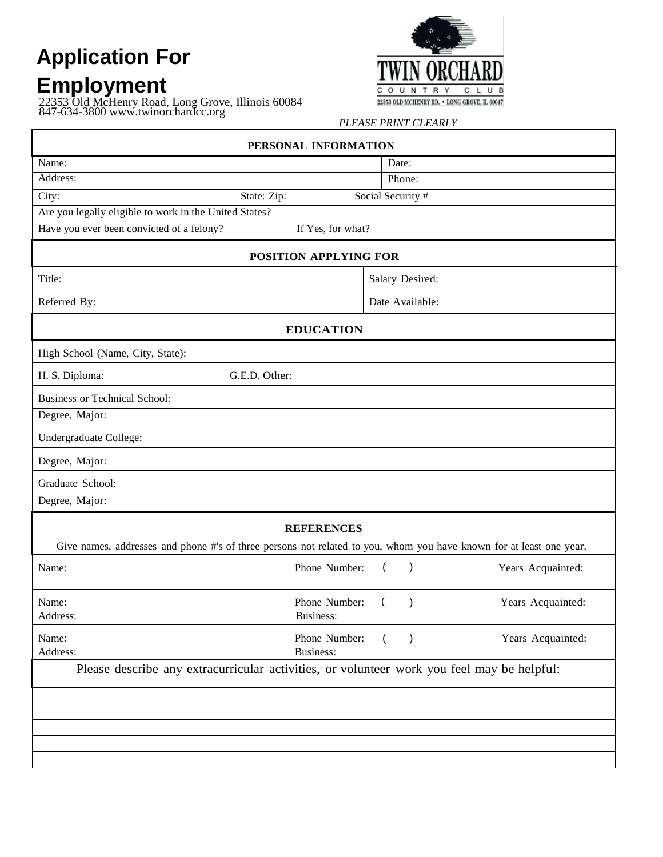## **Application For**

## **Employment**

 22353 Old McHenry Road, Long Grove, Illinois 60084 847-634-3800 www.twinorchardcc.org



*PLEASE PRINT CLEARLY*

| PERSONAL INFORMATION                                                                                                |          |                   |                   |  |  |  |  |
|---------------------------------------------------------------------------------------------------------------------|----------|-------------------|-------------------|--|--|--|--|
| Name:                                                                                                               |          | Date:             |                   |  |  |  |  |
| Address:                                                                                                            |          | Phone:            |                   |  |  |  |  |
| State: Zip:<br>City:                                                                                                |          | Social Security # |                   |  |  |  |  |
| Are you legally eligible to work in the United States?                                                              |          |                   |                   |  |  |  |  |
| Have you ever been convicted of a felony?<br>If Yes, for what?                                                      |          |                   |                   |  |  |  |  |
| POSITION APPLYING FOR                                                                                               |          |                   |                   |  |  |  |  |
| Title:                                                                                                              |          | Salary Desired:   |                   |  |  |  |  |
| Referred By:                                                                                                        |          | Date Available:   |                   |  |  |  |  |
| <b>EDUCATION</b>                                                                                                    |          |                   |                   |  |  |  |  |
| High School (Name, City, State):                                                                                    |          |                   |                   |  |  |  |  |
| G.E.D. Other:<br>H. S. Diploma:                                                                                     |          |                   |                   |  |  |  |  |
| <b>Business or Technical School:</b>                                                                                |          |                   |                   |  |  |  |  |
| Degree, Major:                                                                                                      |          |                   |                   |  |  |  |  |
| Undergraduate College:                                                                                              |          |                   |                   |  |  |  |  |
| Degree, Major:                                                                                                      |          |                   |                   |  |  |  |  |
| Graduate School:                                                                                                    |          |                   |                   |  |  |  |  |
| Degree, Major:                                                                                                      |          |                   |                   |  |  |  |  |
| <b>REFERENCES</b>                                                                                                   |          |                   |                   |  |  |  |  |
| Give names, addresses and phone #'s of three persons not related to you, whom you have known for at least one year. |          |                   |                   |  |  |  |  |
| Phone Number:<br>Name:                                                                                              |          | $\mathcal{E}$     | Years Acquainted: |  |  |  |  |
| Phone Number:<br>Name:<br>Address:<br>Business:                                                                     | $\left($ |                   | Years Acquainted: |  |  |  |  |
| Name:<br>Phone Number:<br>Address:<br><b>Business:</b>                                                              |          | $\lambda$         | Years Acquainted: |  |  |  |  |
| Please describe any extracurricular activities, or volunteer work you feel may be helpful:                          |          |                   |                   |  |  |  |  |
|                                                                                                                     |          |                   |                   |  |  |  |  |
|                                                                                                                     |          |                   |                   |  |  |  |  |
|                                                                                                                     |          |                   |                   |  |  |  |  |
|                                                                                                                     |          |                   |                   |  |  |  |  |
|                                                                                                                     |          |                   |                   |  |  |  |  |